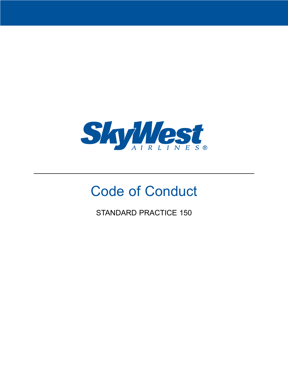

# Code of Conduct

STANDARD PRACTICE 150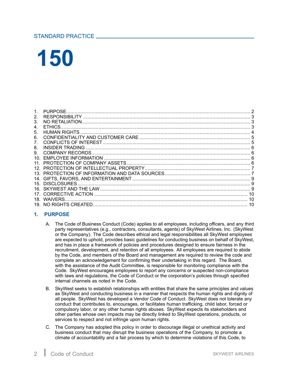# <span id="page-1-0"></span>STANDARD PRACTICE

# **150**

| 15. DISCLOSURES. |  |
|------------------|--|
|                  |  |
|                  |  |
|                  |  |
|                  |  |
|                  |  |

# **1. PURPOSE**

- A. The Code of Business Conduct (Code) applies to all employees, including officers, and any third party representatives (e.g., contractors, consultants, agents) of SkyWest Airlines, Inc. (SkyWest or the Company). The Code describes ethical and legal responsibilities all SkyWest employees are expected to uphold, provides basic guidelines for conducting business on behalf of SkyWest, and has in place <sup>a</sup> framework of policies and procedures designed to ensure fairness in the recruitment, development, and retention of all employees. All employees are required to abide by the Code, and members of the Board and management are required to review the code and complete an acknowledgement for confirming their undertaking in this regard. The Board, with the assistance of the Audit Committee, is responsible for monitoring compliance with the Code. SkyWest encourages employees to report any concerns or suspected non-compliance with laws and regulations, the Code of Conduct or the corporation's policies through specified internal channels as noted in the Code.
- B. SkyWest seeks to establish relationships with entities that share the same principles and values as SkyWest and conducting business in <sup>a</sup> manner that respects the human rights and dignity of all people. SkyWest has developed <sup>a</sup> Vendor Code of Conduct. SkyWest does not tolerate any conduct that contributes to, encourages, or facilitates human trafficking, child labor, forced or compulsory labor, or any other human rights abuses. SkyWest expects its stakeholders and other parties whose own impacts may be directly linked to SkyWest operations, products, or services to respect and not infringe upon human rights.
- C. The Company has adopted this policy in order to discourage illegal or unethical activity and business conduct that may disrupt the business operations of the Company, to promote <sup>a</sup> climate of accountability and <sup>a</sup> fair process by which to determine violations of this Code, to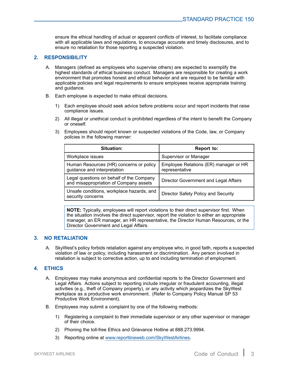ensure the ethical handling of actual or apparent conflicts of interest, to facilitate compliance with all applicable laws and regulations, to encourage accurate and timely disclosures, and to ensure no retaliation for those reporting <sup>a</sup> suspected violation.

#### <span id="page-2-0"></span>**2. RESPONSIBILITY**

- A. Managers (defined as employees who supervise others) are expected to exemplify the highest standards of ethical business conduct. Managers are responsible for creating <sup>a</sup> work environment that promotes honest and ethical behavior and are required to be familiar with applicable policies and legal requirements to ensure employees receive appropriate training and guidance.
- B. Each employee is expected to make ethical decisions.
	- 1) Each employee should seek advice before problems occur and report incidents that raise compliance issues.
	- 2) All illegal or unethical conduct is prohibited regardless of the intent to benefit the Company or oneself.
	- 3) Employees should report known or suspected violations of the Code, law, or Company policies in the following manner:

| Situation:                                                                         | Report to:                                              |
|------------------------------------------------------------------------------------|---------------------------------------------------------|
| Workplace issues                                                                   | Supervisor or Manager                                   |
| Human Resources (HR) concerns or policy<br>guidance and interpretation             | Employee Relations (ER) manager or HR<br>representative |
| Legal questions on behalf of the Company<br>and misappropriation of Company assets | Director Government and Legal Affairs                   |
| Unsafe conditions, workplace hazards, and<br>security concerns                     | <b>Director Safety Policy and Security</b>              |

**NOTE:** Typically, employees will report violations to their direct supervisor first. When the situation involves the direct supervisor, report the violation to either an appropriate manager, an ER manager, an HR representative, the Director Human Resources, or the Director Government and Legal Affairs.

#### **3. NO RETALIATION**

A. SkyWest's policy forbids retaliation against any employee who, in good faith, reports <sup>a</sup> suspected violation of law or policy, including harassment or discrimination. Any person involved in retaliation is subject to corrective action, up to and including termination of employment.

#### **4. ETHICS**

- A. Employees may make anonymous and confidential reports to the Director Government and Legal Affairs. Actions subject to reporting include irregular or fraudulent accounting, illegal activities (e.g., theft of Company property), or any activity which jeopardizes the SkyWest workplace as <sup>a</sup> productive work environment. (Refer to Company Policy Manual SP 53 Productive Work Environment).
- B. Employees may submit <sup>a</sup> complaint by one of the following methods:
	- 1) Registering <sup>a</sup> complaint to their immediate supervisor or any other supervisor or manager of their choice.
	- 2) Phoning the toll-free Ethics and Grievance Hotline at 888.273.9994.
	- 3) Reporting online at [www.reportlineweb.com/SkyWestAirlines](http://www.skywestonline.com/SKYW/OnlineDocs/?docid=ReportLineWeb).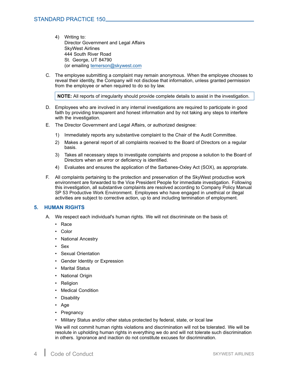- <span id="page-3-0"></span>4) Writing to: Director Government and Legal Affairs SkyWest Airlines 444 South River Road St. George, UT 84790 (or emailing [temerson@skywest.com](mailto:temerson@skywest.com)
- C. The employee submitting <sup>a</sup> complaint may remain anonymous. When the employee chooses to reveal their identity, the Company will not disclose that information, unless granted permission from the employee or when required to do so by law.

**NOTE:** All reports of irregularity should provide complete details to assist in the investigation.

- D. Employees who are involved in any internal investigations are required to participate in good faith by providing transparent and honest information and by not taking any steps to interfere with the investigation.
- E. The Director Government and Legal Affairs, or authorized designee:
	- 1) Immediately reports any substantive complaint to the Chair of the Audit Committee.
	- 2) Makes <sup>a</sup> general report of all complaints received to the Board of Directors on <sup>a</sup> regular basis.
	- 3) Takes all necessary steps to investigate complaints and propose <sup>a</sup> solution to the Board of Directors when an error or deficiency is identified.
	- 4) Evaluates and ensures the application of the Sarbanes-Oxley Act (SOX), as appropriate.
- F. All complaints pertaining to the protection and preservation of the SkyWest productive work environment are forwarded to the Vice President People for immediate investigation. Following this investigation, all substantive complaints are resolved according to Company Policy Manual SP 53 Productive Work Environment. Employees who have engaged in unethical or illegal activities are subject to corrective action, up to and including termination of employment.

#### **5. HUMAN RIGHTS**

- A. We respect each individual's human rights. We will not discriminate on the basis of:
	- Race
	- Color
	- National Ancestry
	- •Sex
	- Sexual Orientation
	- Gender Identity or Expression
	- •Marital Status
	- National Origin
	- •**Religion**
	- Medical Condition
	- •**Disability**
	- Age
	- Pregnancy
	- Military Status and/or other status protected by federal, state, or local law

We will not commit human rights violations and discrimination will not be tolerated. We will be resolute in upholding human rights in everything we do and will not tolerate such discrimination in others. Ignorance and inaction do not constitute excuses for discrimination.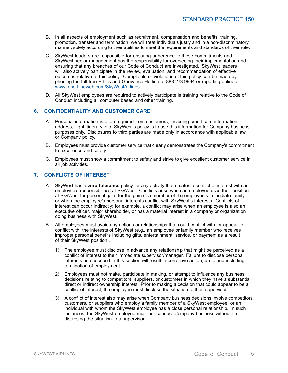- <span id="page-4-0"></span>B. In all aspects of employment such as recruitment, compensation and benefits, training, promotion, transfer and termination, we will treat individuals justly and in <sup>a</sup> non-discriminatory manner, solely according to their abilities to meet the requirements and standards of their role.
- C. SkyWest leaders are responsible for ensuring adherence to these commitments and SkyWest senior management has the responsibility for overseeing their implementation and ensuring that any breaches of our Code of Conduct are investigated. SkyWest leaders will also actively participate in the review, evaluation, and recommendation of effective outcomes relative to this policy. Complaints or violations of this policy can be made by phoning the toll free Ethics and Grievance Hotline at 888.273.9994 or reporting online at <www.reportlineweb.com/SkyWestAirlines>.
- D. All SkyWest employees are required to actively participate in training relative to the Code of Conduct including all computer based and other training.

#### **6. CONFIDENTIALITY AND CUSTOMER CARE**

- A. Personal information is often required from customers, including credit card information, address, flight itinerary, etc. SkyWest's policy is to use this information for Company business purposes only. Disclosures to third parties are made only in accordance with applicable law or Company policy.
- B. Employees must provide customer service that clearly demonstrates the Company's commitment to excellence and safety.
- C. Employees must show <sup>a</sup> commitment to safety and strive to give excellent customer service in all job activities.

#### **7. CONFLICTS OF INTEREST**

- A. SkyWest has <sup>a</sup> **zero tolerance** policy for any activity that creates <sup>a</sup> conflict of interest with an employee's responsibilities at SkyWest. Conflicts arise when an employee uses their position at SkyWest for personal gain, for the gain of <sup>a</sup> member of the employee's immediate family, or when the employee's personal interests conflict with SkyWest's interests. Conflicts of interest can occur indirectly; for example, <sup>a</sup> conflict may arise when an employee is also an executive officer, major shareholder, or has <sup>a</sup> material interest in <sup>a</sup> company or organization doing business with SkyWest.
- B. All employees must avoid any actions or relationships that could conflict with, or appear to conflict with, the interests of SkyWest (e.g., an employee or family member who receives improper personal benefits including gifts, entertainment, service, or payment as <sup>a</sup> result of their SkyWest position).
	- 1) The employee must disclose in advance any relationship that might be perceived as <sup>a</sup> conflict of interest to their immediate supervisor/manager. Failure to disclose personal interests as described in this section will result in corrective action, up to and including termination of employment.
	- 2) Employees must not make, participate in making, or attempt to influence any business decisions relating to competitors, suppliers, or customers in which they have <sup>a</sup> substantial direct or indirect ownership interest. Prior to making <sup>a</sup> decision that could appear to be <sup>a</sup> conflict of interest, the employee must disclose the situation to their supervisor.
	- 3) A conflict of interest also may arise when Company business decisions involve competitors, customers, or suppliers who employ <sup>a</sup> family member of <sup>a</sup> SkyWest employee, or an individual with whom the SkyWest employee has <sup>a</sup> close personal relationship. In such instances, the SkyWest employee must not conduct Company business without first disclosing the situation to <sup>a</sup> supervisor.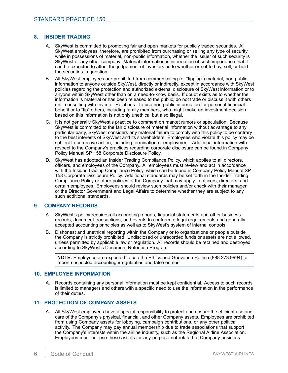#### <span id="page-5-0"></span>**8. INSIDER TRADING**

- A. SkyWest is committed to promoting fair and open markets for publicly traded securities. All SkyWest employees, therefore, are prohibited from purchasing or selling any type of security while in possessions of material, non-public information, whether the issuer of such security is SkyWest or any other company. Material information is information of such importance that it can be expected to affect the judgement of investors as to whether or not to buy, sell, or hold the securities in question.
- B. All SkyWest employees are prohibited from communicating (or "tipping") material, non-public information to anyone outside SkyWest, directly or indirectly, except in accordance with SkyWest policies regarding the protection and authorized external disclosure of SkyWest information or to anyone within SkyWest other than on <sup>a</sup> need-to-know basis. If doubt exists as to whether the information is material or has been released to the public, do not trade or discuss it with others until consulting with Investor Relations. To use non-public information for personal financial benefit or to "tip" others, including family members, who might make an investment decision based on this information is not only unethical but also illegal.
- C. It is not generally SkyWest's practice to comment on market rumors or speculation. Because SkyWest is committed to the fair disclosure of material information without advantage to any particular party, SkyWest considers any material failure to comply with this policy to be contrary to the best interests of SkyWest and its shareholders. Employees who violate this policy may be subject to corrective action, including termination of employment. Additional information with respect to the Company's practices regarding corporate disclosure can be found in Company Policy Manual SP 158 Corporate Disclosure Policy.
- D. SkyWest has adopted an Insider Trading Compliance Policy, which applies to all directors, officers, and employees of the Company. All employees must review and act in accordance with the Insider Trading Compliance Policy, which can be found in Company Policy Manual SP 158 Corporate Disclosure Policy. Additional standards may be set forth in the Insider Trading Compliance Policy or other policies of the Company that may apply to officers, directors, and certain employees. Employees should review such policies and/or check with their manager or the Director Government and Legal Affairs to determine whether they are subject to any such additional standards.

#### **9. COMPANY RECORDS**

- A. SkyWest's policy requires all accounting reports, financial statements and other business records, document transactions, and events to conform to legal requirements and generally accepted accounting principles as well as to SkyWest's system of internal controls.
- B. Dishonest and unethical reporting within the Company or to organizations or people outside the Company is strictly prohibited. Undisclosed or unrecorded funds or assets are not allowed, unless permitted by applicable law or regulation. All records should be retained and destroyed according to SkyWest's Document Retention Program.

**NOTE:** Employees are expected to use the Ethics and Grievance Hotline (888.273.9994) to report suspected accounting irregularities and false entries.

#### **10. EMPLOYEE INFORMATION**

A. Records containing any personal information must be kept confidential. Access to such records is limited to managers and others with <sup>a</sup> specific need to use the information in the performance of their duties.

# **11. PROTECTION OF COMPANY ASSETS**

A. All SkyWest employees have <sup>a</sup> special responsibility to protect and ensure the efficient use and care of the Company's physical, financial, and other Company assets. Employees are prohibited from using Company assets for lobbying, campaign contributions, or any other political activity. The Company may pay annual membership due to trade associations that support the Company's interests within the airline industry, such as the Regional Airline Association. Employees must not use these assets for any purpose not related to Company business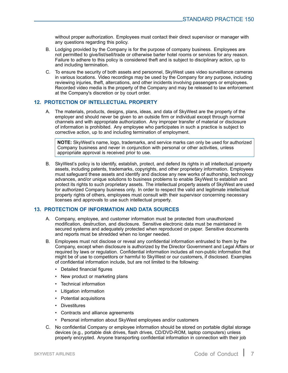<span id="page-6-0"></span>without proper authorization. Employees must contact their direct supervisor or manager with any questions regarding this policy.

- B. Lodging provided by the Company is for the purpose of company business. Employees are not permitted to give/list/sell/trade or otherwise barter hotel rooms or services for any reason. Failure to adhere to this policy is considered theft and is subject to disciplinary action, up to and including termination.
- C. To ensure the security of both assets and personnel, SkyWest uses video surveillance cameras in various locations. Video recordings may be used by the Company for any purpose, including reviewing injuries, theft, altercations, and other incidents involving passengers or employees. Recorded video media is the property of the Company and may be released to law enforcement at the Company's discretion or by court order.

#### **12. PROTECTION OF INTELLECTUAL PROPERTY**

A. The materials, products, designs, plans, ideas, and data of SkyWest are the property of the employer and should never be given to an outside firm or individual except through normal channels and with appropriate authorization. Any improper transfer of material or disclosure of information is prohibited. Any employee who participates in such <sup>a</sup> practice is subject to corrective action, up to and including termination of employment.

**NOTE:** SkyWest's name, logo, trademarks, and service marks can only be used for authorized Company business and never in conjunction with personal or other activities, unless appropriate approval is received prior to use.

B. SkyWest's policy is to identify, establish, protect, and defend its rights in all intellectual property assets, including patents, trademarks, copyrights, and other proprietary information. Employees must safeguard these assets and identify and disclose any new works of authorship, technology advances, and/or unique solutions to business problems to enable SkyWest to establish and protect its rights to such proprietary assets. The intellectual property assets of SkyWest are used for authorized Company business only. In order to respect the valid and legitimate intellectual property rights of others, employees must consult with their supervisor concerning necessary licenses and approvals to use such intellectual property.

#### **13. PROTECTION OF INFORMATION AND DATA SOURCES**

- A. Company, employee, and customer information must be protected from unauthorized modification, destruction, and disclosure. Sensitive electronic data must be maintained in secured systems and adequately protected when reproduced on paper. Sensitive documents and reports must be shredded when no longer needed.
- B. Employees must not disclose or reveal any confidential information entrusted to them by the Company, except when disclosure is authorized by the Director Government and Legal Affairs or required by laws or regulation. Confidential information includes all non-public information that might be of use to competitors or harmful to SkyWest or our customers, if disclosed. Examples of confidential information include, but are not limited to the following:
	- Detailed financial figures
	- New product or marketing plans
	- Technical information
	- Litigation information
	- Potential acquisitions
	- Divestitures
	- Contracts and alliance agreements
	- Personal information about SkyWest employees and/or customers
- C. No confidential Company or employee information should be stored on portable digital storage devices (e.g., portable disk drives, flash drives, CD/DVD-ROM, laptop computers) unless properly encrypted. Anyone transporting confidential information in connection with their job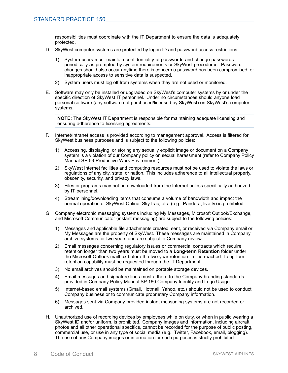responsibilities must coordinate with the IT Department to ensure the data is adequately protected.

- D. SkyWest computer systems are protected by logon ID and password access restrictions.
	- 1) System users must maintain confidentiality of passwords and change passwords periodically as prompted by system requirements or SkyWest procedures. Password changes should also occur anytime there is concern <sup>a</sup> password has been compromised, or inappropriate access to sensitive data is suspected.
	- 2) System users must log off from systems when they are not used or monitored.
- E. Software may only be installed or upgraded on SkyWest's computer systems by or under the specific direction of SkyWest IT personnel. Under no circumstances should anyone load personal software (any software not purchased/licensed by SkyWest) on SkyWest's computer systems.

**NOTE:** The SkyWest IT Department is responsible for maintaining adequate licensing and ensuring adherence to licensing agreements.

- F. Internet/Intranet access is provided according to management approval. Access is filtered for SkyWest business purposes and is subject to the following policies:
	- 1) Accessing, displaying, or storing any sexually explicit image or document on <sup>a</sup> Company system is <sup>a</sup> violation of our Company policy on sexual harassment (refer to Company Policy Manual SP 53 Productive Work Environment).
	- 2) SkyWest Internet facilities and computing resources must not be used to violate the laws or regulations of any city, state, or nation. This includes adherence to all intellectual property, obscenity, security, and privacy laws.
	- 3) Files or programs may not be downloaded from the Internet unless specifically authorized by IT personnel.
	- 4) Streamlining/downloading items that consume <sup>a</sup> volume of bandwidth and impact the normal operation of SkyWest Online, SkyTrac, etc. (e.g., Pandora, live tv) is prohibited.
- G. Company electronic messaging systems including My Messages, Microsoft Outlook/Exchange, and Microsoft Communicator (instant messaging) are subject to the following policies:
	- 1) Messages and applicable file attachments created, sent, or received via Company email or My Messages are the property of SkyWest. These messages are maintained in Company archive systems for two years and are subject to Company review.
	- 2) Email messages concerning regulatory issues or commercial contracts which require retention longer than two years must be moved to <sup>a</sup> **Long-term Retention** folder under the Microsoft Outlook mailbox before the two year retention limit is reached. Long-term retention capability must be requested through the IT Department.
	- 3) No email archives should be maintained on portable storage devices.
	- 4) Email messages and signature lines must adhere to the Company branding standards provided in Company Policy Manual SP 160 Company Identity and Logo Usage.
	- 5) Internet-based email systems (Gmail, Hotmail, Yahoo, etc.) should not be used to conduct Company business or to communicate proprietary Company information.
	- 6) Messages sent via Company-provided instant messaging systems are not recorded or archived.
- H. Unauthorized use of recording devices by employees while on duty, or when in public wearing <sup>a</sup> SkyWest ID and/or uniform, is prohibited. Company images and information, including aircraft photos and all other operational specifics, cannot be recorded for the purpose of public posting, commercial use, or use in any type of social media (e.g., Twitter, Facebook, email, blogging). The use of any Company images or information for such purposes is strictly prohibited.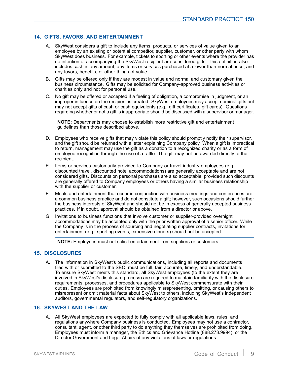# <span id="page-8-0"></span>**14. GIFTS, FAVORS, AND ENTERTAINMENT**

- A. SkyWest considers <sup>a</sup> gift to include any items, products, or services of value given to an employee by an existing or potential competitor, supplier, customer, or other party with whom SkyWest does business. For example, tickets to sporting or other events where the provider has no intention of accompanying the SkyWest recipient are considered gifts. This definition also includes cash in any amount, any items or services purchased at <sup>a</sup> lower-than-normal price, and any favors, benefits, or other things of value.
- B. Gifts may be offered only if they are modest in value and normal and customary given the business circumstance. Gifts may be solicited for Company-approved business activities or charities only and not for personal use.
- C. No gift may be offered or accepted if <sup>a</sup> feeling of obligation, <sup>a</sup> compromise in judgment, or an improper influence on the recipient is created. SkyWest employees may accept nominal gifts but may not accept gifts of cash or cash equivalents (e.g., gift certificates, gift cards). Questions regarding whether or not <sup>a</sup> gift is inappropriate should be discussed with <sup>a</sup> supervisor or manager.

**NOTE:** Departments may choose to establish more restrictive gift and entertainment guidelines than those described above.

- D. Employees who receive gifts that may violate this policy should promptly notify their supervisor, and the gift should be returned with <sup>a</sup> letter explaining Company policy. When <sup>a</sup> gift is impractical to return, management may use the gift as <sup>a</sup> donation to <sup>a</sup> recognized charity or as <sup>a</sup> form of employee recognition through the use of <sup>a</sup> raffle. The gift may not be awarded directly to the recipient.
- E. Items or services customarily provided to Company or travel industry employees (e.g., discounted travel, discounted hotel accommodations) are generally acceptable and are not considered gifts. Discounts on personal purchases are also acceptable, provided such discounts are generally offered to Company employees or others having <sup>a</sup> similar business relationship with the supplier or customer.
- F. Meals and entertainment that occur in conjunction with business meetings and conferences are <sup>a</sup> common business practice and do not constitute <sup>a</sup> gift; however, such occasions should further the business interests of SkyWest and should not be in excess of generally accepted business practices. If in doubt, approval should be obtained from <sup>a</sup> director or above.
- G. Invitations to business functions that involve customer or supplier-provided overnight accommodations may be accepted only with the prior written approval of <sup>a</sup> senior officer. While the Company is in the process of sourcing and negotiating supplier contracts, invitations for entertainment (e.g., sporting events, expensive dinners) should not be accepted.

**NOTE:** Employees must not solicit entertainment from suppliers or customers.

#### **15. DISCLOSURES**

A. The information in SkyWest's public communications, including all reports and documents filed with or submitted to the SEC, must be full, fair, accurate, timely, and understandable. To ensure SkyWest meets this standard, all SkyWest employees (to the extent they are involved in SkyWest's disclosure process) are required to maintain familiarity with the disclosure requirements, processes, and procedures applicable to SkyWest commensurate with their duties. Employees are prohibited from knowingly misrepresenting, omitting, or causing others to misrepresent or omit material facts about SkyWest to others, including SkyWest's independent auditors, governmental regulators, and self-regulatory organizations.

#### **16. SKYWEST AND THE LAW**

A. All SkyWest employees are expected to fully comply with all applicable laws, rules, and regulations anywhere Company business is conducted. Employees may not use <sup>a</sup> contractor, consultant, agent, or other third party to do anything they themselves are prohibited from doing. Employees must inform <sup>a</sup> manager, the Ethics and Grievance Hotline (888.273.9994), or the Director Government and Legal Affairs of any violations of laws or regulations.